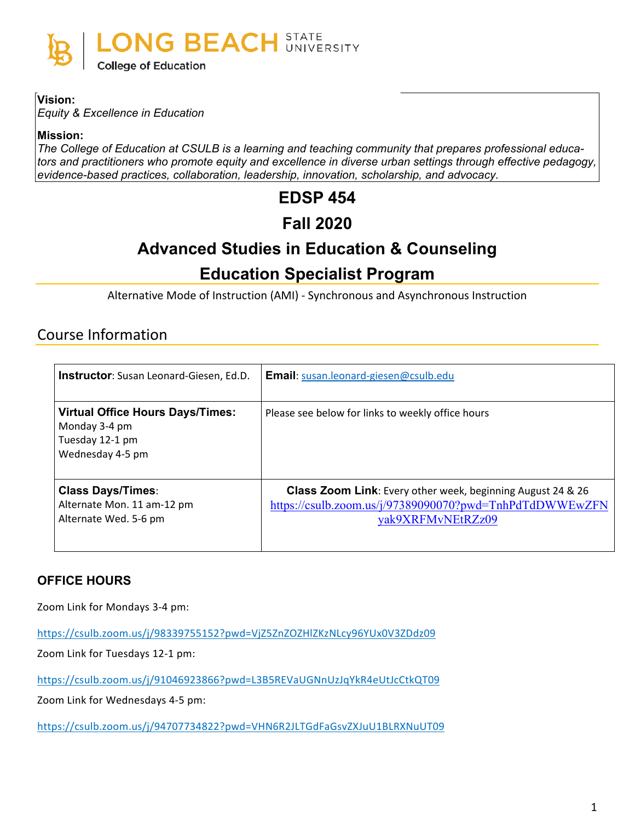

#### **Vision:**

*Equity & Excellence in Education*

**Mission:**

*The College of Education at CSULB is a learning and teaching community that prepares professional educators and practitioners who promote equity and excellence in diverse urban settings through effective pedagogy, evidence-based practices, collaboration, leadership, innovation, scholarship, and advocacy.*

# **EDSP 454**

# **Fall 2020**

# **Advanced Studies in Education & Counseling**

# **Education Specialist Program**

Alternative Mode of Instruction (AMI) - Synchronous and Asynchronous Instruction

## Course Information

| <b>Instructor:</b> Susan Leonard-Giesen, Ed.D.                                                  | <b>Email:</b> susan.leonard-giesen@csulb.edu                                                                                                       |
|-------------------------------------------------------------------------------------------------|----------------------------------------------------------------------------------------------------------------------------------------------------|
| <b>Virtual Office Hours Days/Times:</b><br>Monday 3-4 pm<br>Tuesday 12-1 pm<br>Wednesday 4-5 pm | Please see below for links to weekly office hours                                                                                                  |
| <b>Class Days/Times:</b><br>Alternate Mon. 11 am-12 pm<br>Alternate Wed. 5-6 pm                 | <b>Class Zoom Link:</b> Every other week, beginning August 24 & 26<br>https://csulb.zoom.us/j/97389090070?pwd=TnhPdTdDWWEwZFN<br>yak9XRFMvNEtRZz09 |

## **OFFICE HOURS**

Zoom Link for Mondays 3-4 pm:

<https://csulb.zoom.us/j/98339755152?pwd=VjZ5ZnZOZHlZKzNLcy96YUx0V3ZDdz09>

Zoom Link for Tuesdays 12-1 pm:

<https://csulb.zoom.us/j/91046923866?pwd=L3B5REVaUGNnUzJqYkR4eUtJcCtkQT09>

Zoom Link for Wednesdays 4-5 pm:

<https://csulb.zoom.us/j/94707734822?pwd=VHN6R2JLTGdFaGsvZXJuU1BLRXNuUT09>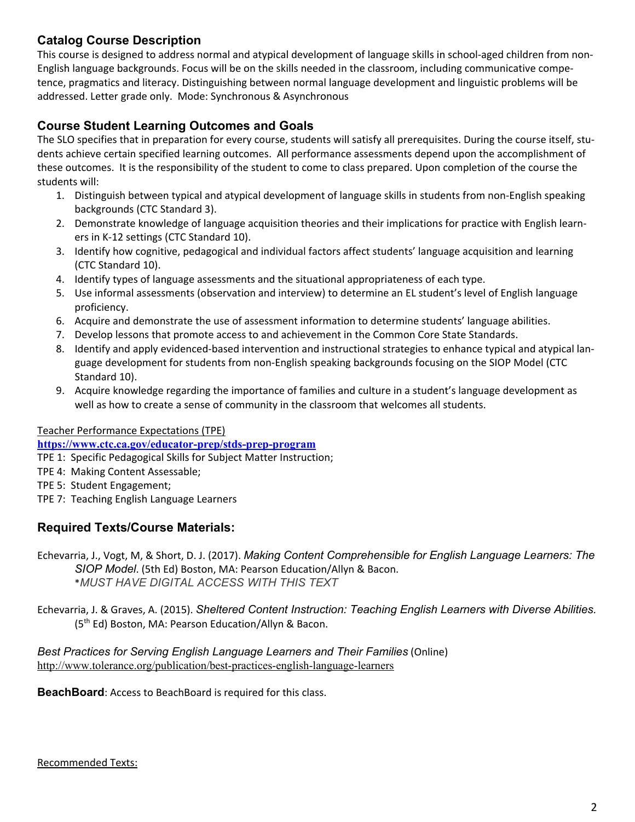## **Catalog Course Description**

This course is designed to address normal and atypical development of language skills in school-aged children from non-English language backgrounds. Focus will be on the skills needed in the classroom, including communicative competence, pragmatics and literacy. Distinguishing between normal language development and linguistic problems will be addressed. Letter grade only. Mode: Synchronous & Asynchronous

## **Course Student Learning Outcomes and Goals**

The SLO specifies that in preparation for every course, students will satisfy all prerequisites. During the course itself, students achieve certain specified learning outcomes. All performance assessments depend upon the accomplishment of these outcomes. It is the responsibility of the student to come to class prepared. Upon completion of the course the students will:

- 1. Distinguish between typical and atypical development of language skills in students from non-English speaking backgrounds (CTC Standard 3).
- 2. Demonstrate knowledge of language acquisition theories and their implications for practice with English learners in K-12 settings (CTC Standard 10).
- 3. Identify how cognitive, pedagogical and individual factors affect students' language acquisition and learning (CTC Standard 10).
- 4. Identify types of language assessments and the situational appropriateness of each type.
- 5. Use informal assessments (observation and interview) to determine an EL student's level of English language proficiency.
- 6. Acquire and demonstrate the use of assessment information to determine students' language abilities.
- 7. Develop lessons that promote access to and achievement in the Common Core State Standards.
- 8. Identify and apply evidenced-based intervention and instructional strategies to enhance typical and atypical language development for students from non-English speaking backgrounds focusing on the SIOP Model (CTC Standard 10).
- 9. Acquire knowledge regarding the importance of families and culture in a student's language development as well as how to create a sense of community in the classroom that welcomes all students.

#### Teacher Performance Expectations (TPE)

**<https://www.ctc.ca.gov/educator-prep/stds-prep-program>**

TPE 1: Specific Pedagogical Skills for Subject Matter Instruction;

- TPE 4: Making Content Assessable;
- TPE 5: Student Engagement;
- TPE 7: Teaching English Language Learners

## **Required Texts/Course Materials:**

- Echevarria, J., Vogt, M, & Short, D. J. (2017). *Making Content Comprehensible for English Language Learners: The SIOP Model*. (5th Ed) Boston, MA: Pearson Education/Allyn & Bacon. \**MUST HAVE DIGITAL ACCESS WITH THIS TEXT*
- Echevarria, J. & Graves, A. (2015). *Sheltered Content Instruction: Teaching English Learners with Diverse Abilities.* (5th Ed) Boston, MA: Pearson Education/Allyn & Bacon.

*Best Practices for Serving English Language Learners and Their Families* (Online) <http://www.tolerance.org/publication/best-practices-english-language-learners>

**BeachBoard**: Access to BeachBoard is required for this class.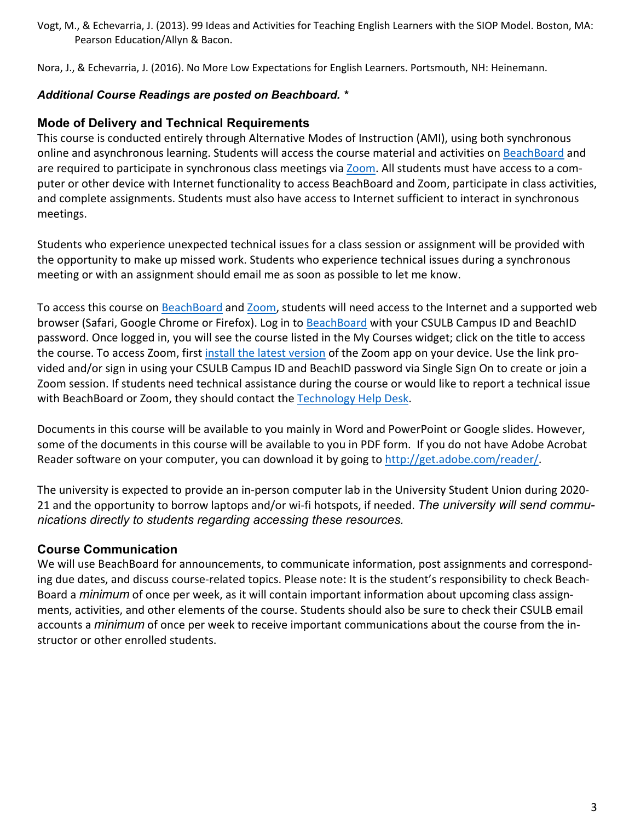Vogt, M., & Echevarria, J. (2013). 99 Ideas and Activities for Teaching English Learners with the SIOP Model. Boston, MA: Pearson Education/Allyn & Bacon.

Nora, J., & Echevarria, J. (2016). No More Low Expectations for English Learners. Portsmouth, NH: Heinemann.

### *Additional Course Readings are posted on Beachboard. \**

### **Mode of Delivery and Technical Requirements**

This course is conducted entirely through Alternative Modes of Instruction (AMI), using both synchronous online and asynchronous learning. Students will access the course material and activities on [BeachBoard](https://bbcsulb.desire2learn.com/d2l/home) and are required to participate in synchronous class meetings via [Zoom.](https://csulb.zoom.us/meeting) All students must have access to a computer or other device with Internet functionality to access BeachBoard and Zoom, participate in class activities, and complete assignments. Students must also have access to Internet sufficient to interact in synchronous meetings.

Students who experience unexpected technical issues for a class session or assignment will be provided with the opportunity to make up missed work. Students who experience technical issues during a synchronous meeting or with an assignment should email me as soon as possible to let me know.

To access this course on BeachBoard and [Zoom,](https://csulb.zoom.us/meeting) students will need access to the Internet and a supported web browser (Safari, Google Chrome or Firefox). Log in to [BeachBoard](https://bbcsulb.desire2learn.com/) with your CSULB Campus ID and BeachID password. Once logged in, you will see the course listed in the My Courses widget; click on the title to access the course. To access Zoom, first install the latest [version](https://zoom.us/download) of the Zoom app on your device. Use the link provided and/or sign in using your CSULB Campus ID and BeachID password via Single Sign On to create or join a Zoom session. If students need technical assistance during the course or would like to report a technical issue with BeachBoard or Zoom, they should contact the [Technology](https://www.csulb.edu/academic-technology-services/academic-technology-resources-for-students) Help Desk.

Documents in this course will be available to you mainly in Word and PowerPoint or Google slides. However, some of the documents in this course will be available to you in PDF form. If you do not have Adobe Acrobat Reader software on your computer, you can download it by going to [http://get.adobe.com/reader/.](http://get.adobe.com/reader/)

The university is expected to provide an in-person computer lab in the University Student Union during 2020- 21 and the opportunity to borrow laptops and/or wi-fi hotspots, if needed. *The university will send communications directly to students regarding accessing these resources.*

## **Course Communication**

We will use BeachBoard for announcements, to communicate information, post assignments and corresponding due dates, and discuss course-related topics. Please note: It is the student's responsibility to check Beach-Board a *minimum* of once per week, as it will contain important information about upcoming class assignments, activities, and other elements of the course. Students should also be sure to check their CSULB email accounts a *minimum* of once per week to receive important communications about the course from the instructor or other enrolled students.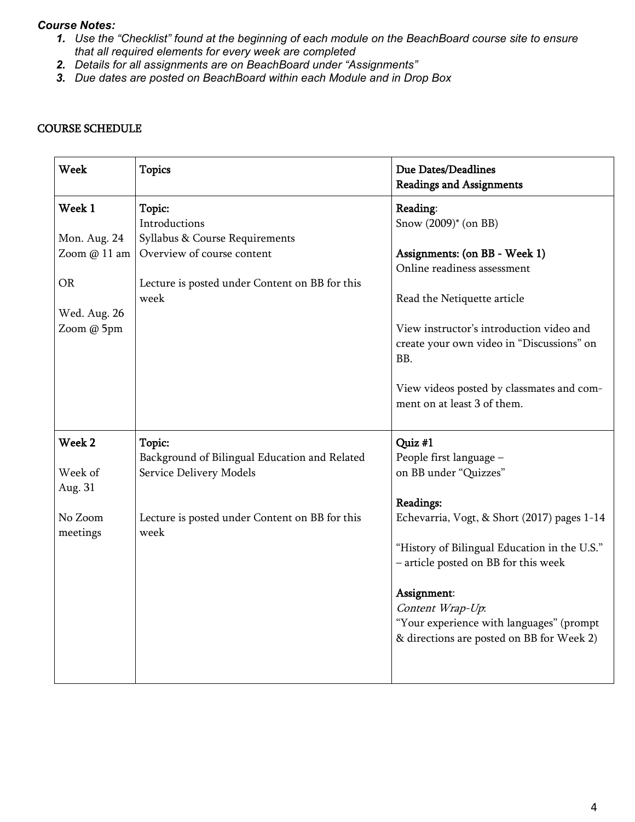#### *Course Notes:*

- 1. Use the "Checklist" found at the beginning of each module on the BeachBoard course site to ensure *that all required elements for every week are completed*
- *2. Details for all assignments are on BeachBoard under "Assignments"*
- *3. Due dates are posted on BeachBoard within each Module and in Drop Box*

| <b>Week</b>       | <b>Topics</b>                                  | Due Dates/Deadlines<br><b>Readings and Assignments</b> |
|-------------------|------------------------------------------------|--------------------------------------------------------|
| Week 1            | Topic:                                         | Reading:                                               |
|                   | Introductions                                  | Snow (2009)* (on BB)                                   |
| Mon. Aug. 24      | Syllabus & Course Requirements                 |                                                        |
| Zoom @ 11 am      | Overview of course content                     | Assignments: (on BB - Week 1)                          |
|                   |                                                | Online readiness assessment                            |
| <b>OR</b>         | Lecture is posted under Content on BB for this |                                                        |
|                   | week                                           | Read the Netiquette article                            |
| Wed. Aug. 26      |                                                |                                                        |
| Zoom @ 5pm        |                                                | View instructor's introduction video and               |
|                   |                                                | create your own video in "Discussions" on              |
|                   |                                                | BB.                                                    |
|                   |                                                | View videos posted by classmates and com-              |
|                   |                                                | ment on at least 3 of them.                            |
|                   |                                                |                                                        |
| Week <sub>2</sub> | Topic:                                         | Quiz #1                                                |
|                   | Background of Bilingual Education and Related  | People first language -                                |
| Week of           | Service Delivery Models                        | on BB under "Quizzes"                                  |
| Aug. 31           |                                                |                                                        |
|                   |                                                | Readings:                                              |
| No Zoom           | Lecture is posted under Content on BB for this | Echevarria, Vogt, & Short (2017) pages 1-14            |
| meetings          | week                                           |                                                        |
|                   |                                                | "History of Bilingual Education in the U.S."           |
|                   |                                                | - article posted on BB for this week                   |
|                   |                                                | Assignment:                                            |
|                   |                                                | Content Wrap-Up:                                       |
|                   |                                                | "Your experience with languages" (prompt               |
|                   |                                                | & directions are posted on BB for Week 2)              |
|                   |                                                |                                                        |
|                   |                                                |                                                        |
|                   |                                                |                                                        |

#### COURSE SCHEDULE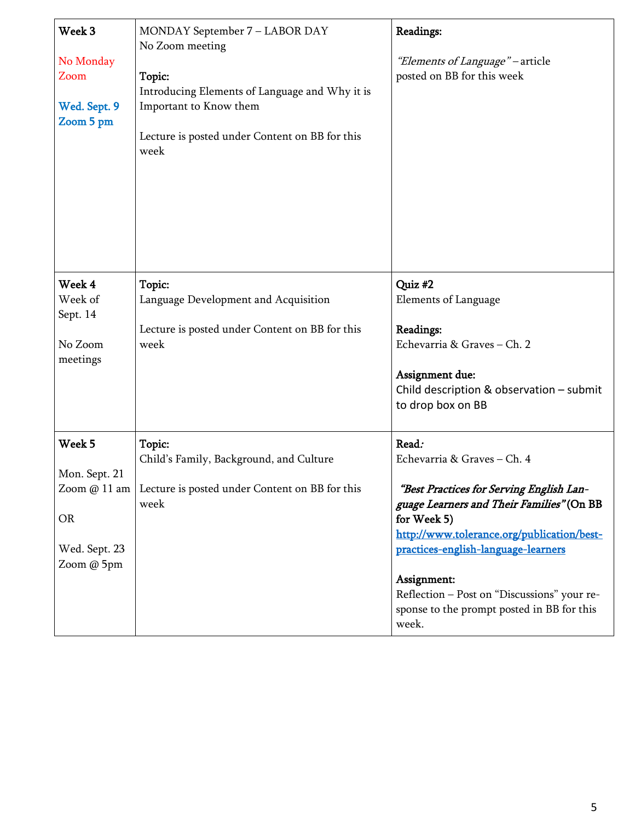| Week 3<br>No Monday<br>Zoom<br>Wed. Sept. 9<br>Zoom 5 pm            | MONDAY September 7 - LABOR DAY<br>No Zoom meeting<br>Topic:<br>Introducing Elements of Language and Why it is<br>Important to Know them<br>Lecture is posted under Content on BB for this<br>week | Readings:<br>"Elements of Language" - article<br>posted on BB for this week                                                                                                                                                                                                                                                                            |
|---------------------------------------------------------------------|---------------------------------------------------------------------------------------------------------------------------------------------------------------------------------------------------|--------------------------------------------------------------------------------------------------------------------------------------------------------------------------------------------------------------------------------------------------------------------------------------------------------------------------------------------------------|
| Week 4<br>Week of<br>Sept. 14<br>No Zoom<br>meetings                | Topic:<br>Language Development and Acquisition<br>Lecture is posted under Content on BB for this<br>week                                                                                          | Quiz #2<br>Elements of Language<br>Readings:<br>Echevarria & Graves - Ch. 2<br>Assignment due:<br>Child description & observation - submit<br>to drop box on BB                                                                                                                                                                                        |
| Week 5<br>Mon. Sept. 21<br><b>OR</b><br>Wed. Sept. 23<br>Zoom @ 5pm | Topic:<br>Child's Family, Background, and Culture<br>Zoom $@11$ am   Lecture is posted under Content on BB for this<br>week                                                                       | Read:<br>Echevarria & Graves - Ch. 4<br>"Best Practices for Serving English Lan-<br>guage Learners and Their Families" (On BB<br>for Week 5)<br>http://www.tolerance.org/publication/best-<br>practices-english-language-learners<br>Assignment:<br>Reflection - Post on "Discussions" your re-<br>sponse to the prompt posted in BB for this<br>week. |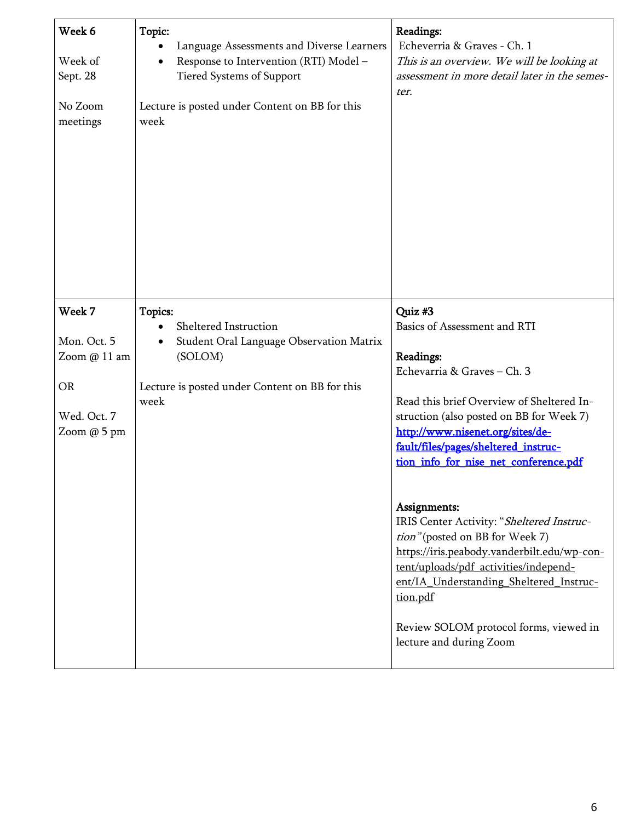| Week 6<br>Week of<br>Sept. 28<br>No Zoom<br>meetings                             | Topic:<br>Language Assessments and Diverse Learners<br>Response to Intervention (RTI) Model -<br><b>Tiered Systems of Support</b><br>Lecture is posted under Content on BB for this<br>week | Readings:<br>Echeverria & Graves - Ch. 1<br>This is an overview. We will be looking at<br>assessment in more detail later in the semes-<br>ter.                                                                                                                                                                                                                                                                                                                                                                                                                                                                       |
|----------------------------------------------------------------------------------|---------------------------------------------------------------------------------------------------------------------------------------------------------------------------------------------|-----------------------------------------------------------------------------------------------------------------------------------------------------------------------------------------------------------------------------------------------------------------------------------------------------------------------------------------------------------------------------------------------------------------------------------------------------------------------------------------------------------------------------------------------------------------------------------------------------------------------|
| Week 7<br>Mon. Oct. 5<br>Zoom @ 11 am<br><b>OR</b><br>Wed. Oct. 7<br>Zoom @ 5 pm | Topics:<br>Sheltered Instruction<br>Student Oral Language Observation Matrix<br>(SOLOM)<br>Lecture is posted under Content on BB for this<br>week                                           | Quiz #3<br>Basics of Assessment and RTI<br>Readings:<br>Echevarria & Graves - Ch. 3<br>Read this brief Overview of Sheltered In-<br>struction (also posted on BB for Week 7)<br>http://www.nisenet.org/sites/de-<br>fault/files/pages/sheltered_instruc-<br>tion info for nise net conference.pdf<br>Assignments:<br>IRIS Center Activity: "Sheltered Instruc-<br>tion" (posted on BB for Week 7)<br>https://iris.peabody.vanderbilt.edu/wp-con-<br>tent/uploads/pdf activities/independ-<br>ent/IA Understanding Sheltered Instruc-<br>tion.pdf<br>Review SOLOM protocol forms, viewed in<br>lecture and during Zoom |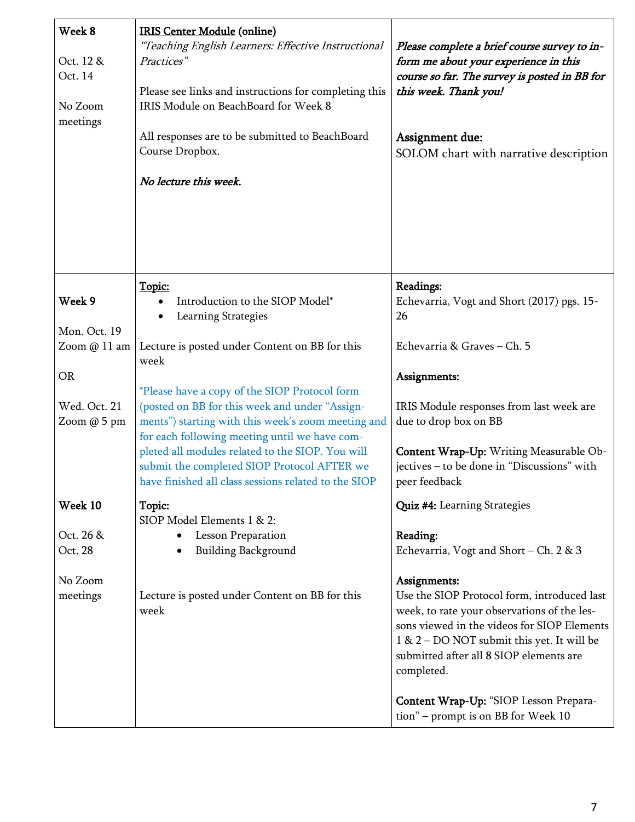| Week 8<br>Oct. 12 &<br>Oct. 14<br>No Zoom<br>meetings | <b>IRIS Center Module (online)</b><br>"Teaching English Learners: Effective Instructional<br>Practices"<br>Please see links and instructions for completing this<br>IRIS Module on BeachBoard for Week 8<br>All responses are to be submitted to BeachBoard<br>Course Dropbox.<br>No lecture this week. | Please complete a brief course survey to in-<br>form me about your experience in this<br>course so far. The survey is posted in BB for<br>this week. Thank you!<br>Assignment due:<br>SOLOM chart with narrative description |
|-------------------------------------------------------|---------------------------------------------------------------------------------------------------------------------------------------------------------------------------------------------------------------------------------------------------------------------------------------------------------|------------------------------------------------------------------------------------------------------------------------------------------------------------------------------------------------------------------------------|
|                                                       | Topic:                                                                                                                                                                                                                                                                                                  | Readings:                                                                                                                                                                                                                    |
| Week 9                                                | Introduction to the SIOP Model*<br>Learning Strategies                                                                                                                                                                                                                                                  | Echevarria, Vogt and Short (2017) pgs. 15-<br>26                                                                                                                                                                             |
| Mon. Oct. 19                                          |                                                                                                                                                                                                                                                                                                         |                                                                                                                                                                                                                              |
| Zoom @ 11 am                                          | Lecture is posted under Content on BB for this<br>week                                                                                                                                                                                                                                                  | Echevarria & Graves - Ch. 5                                                                                                                                                                                                  |
| <b>OR</b>                                             |                                                                                                                                                                                                                                                                                                         | Assignments:                                                                                                                                                                                                                 |
|                                                       | *Please have a copy of the SIOP Protocol form                                                                                                                                                                                                                                                           |                                                                                                                                                                                                                              |
| Wed. Oct. 21<br>Zoom @ 5 pm                           | (posted on BB for this week and under "Assign-<br>ments") starting with this week's zoom meeting and                                                                                                                                                                                                    | IRIS Module responses from last week are<br>due to drop box on BB                                                                                                                                                            |
|                                                       | for each following meeting until we have com-                                                                                                                                                                                                                                                           |                                                                                                                                                                                                                              |
|                                                       | pleted all modules related to the SIOP. You will<br>submit the completed SIOP Protocol AFTER we                                                                                                                                                                                                         | Content Wrap-Up: Writing Measurable Ob-<br>jectives - to be done in "Discussions" with                                                                                                                                       |
|                                                       | have finished all class sessions related to the SIOP                                                                                                                                                                                                                                                    | peer feedback                                                                                                                                                                                                                |
| Week 10                                               | Topic:                                                                                                                                                                                                                                                                                                  | Quiz #4: Learning Strategies                                                                                                                                                                                                 |
| Oct. 26 &                                             | SIOP Model Elements 1 & 2:<br><b>Lesson Preparation</b>                                                                                                                                                                                                                                                 | Reading:                                                                                                                                                                                                                     |
| Oct. 28                                               | <b>Building Background</b>                                                                                                                                                                                                                                                                              | Echevarria, Vogt and Short – Ch. 2 & 3                                                                                                                                                                                       |
| No Zoom                                               |                                                                                                                                                                                                                                                                                                         | Assignments:                                                                                                                                                                                                                 |
| meetings                                              | Lecture is posted under Content on BB for this                                                                                                                                                                                                                                                          | Use the SIOP Protocol form, introduced last                                                                                                                                                                                  |
|                                                       | week                                                                                                                                                                                                                                                                                                    | week, to rate your observations of the les-                                                                                                                                                                                  |
|                                                       |                                                                                                                                                                                                                                                                                                         | sons viewed in the videos for SIOP Elements<br>1 & 2 – DO NOT submit this yet. It will be                                                                                                                                    |
|                                                       |                                                                                                                                                                                                                                                                                                         | submitted after all 8 SIOP elements are<br>completed.                                                                                                                                                                        |
|                                                       |                                                                                                                                                                                                                                                                                                         | Content Wrap-Up: "SIOP Lesson Prepara-<br>tion" – prompt is on BB for Week 10                                                                                                                                                |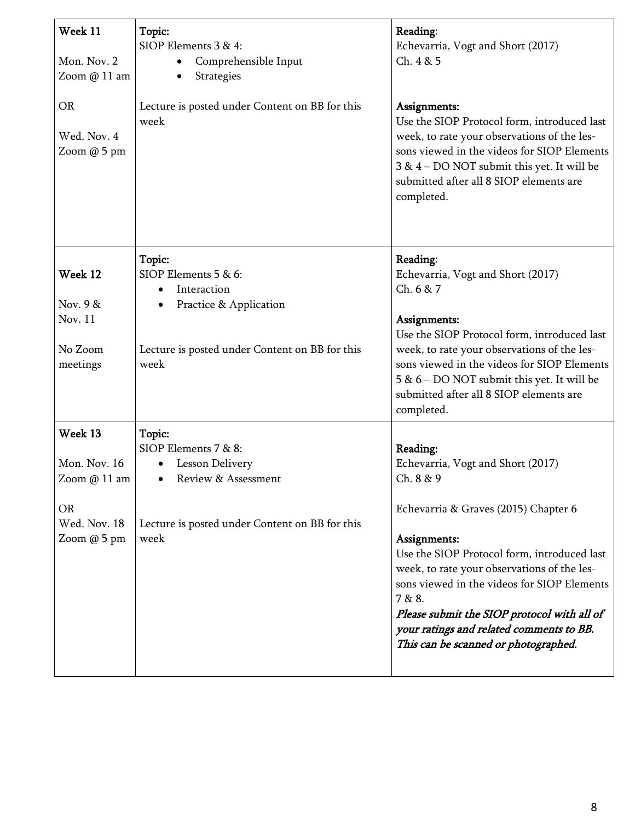| Week 11<br>Mon. Nov. 2<br>Zoom @ 11 am   | Topic:<br>SIOP Elements 3 & 4:<br>Comprehensible Input<br>Strategies                              | Reading:<br>Echevarria, Vogt and Short (2017)<br>Ch. 4 & 5                                                                                                                                                                                                                                                                                     |
|------------------------------------------|---------------------------------------------------------------------------------------------------|------------------------------------------------------------------------------------------------------------------------------------------------------------------------------------------------------------------------------------------------------------------------------------------------------------------------------------------------|
| <b>OR</b><br>Wed. Nov. 4<br>Zoom @ 5 pm  | Lecture is posted under Content on BB for this<br>week                                            | Assignments:<br>Use the SIOP Protocol form, introduced last<br>week, to rate your observations of the les-<br>sons viewed in the videos for SIOP Elements<br>3 & 4 - DO NOT submit this yet. It will be<br>submitted after all 8 SIOP elements are<br>completed.                                                                               |
| Week 12<br>Nov. 9 &                      | Topic:<br>SIOP Elements 5 & 6:<br>Interaction<br>$\bullet$<br>Practice & Application              | Reading:<br>Echevarria, Vogt and Short (2017)<br>Ch. 6 & 7                                                                                                                                                                                                                                                                                     |
| Nov. 11<br>No Zoom<br>meetings           | Lecture is posted under Content on BB for this<br>week                                            | Assignments:<br>Use the SIOP Protocol form, introduced last<br>week, to rate your observations of the les-<br>sons viewed in the videos for SIOP Elements<br>5 & 6 – DO NOT submit this yet. It will be<br>submitted after all 8 SIOP elements are<br>completed.                                                                               |
| Week 13<br>Mon. Nov. 16<br>Zoom @ 11 am  | Topic:<br>SIOP Elements 7 & 8:<br><b>Lesson Delivery</b><br>٠<br>Review & Assessment<br>$\bullet$ | Reading:<br>Echevarria, Vogt and Short (2017)<br>Ch. 8 & 9                                                                                                                                                                                                                                                                                     |
| <b>OR</b><br>Wed. Nov. 18<br>Zoom @ 5 pm | Lecture is posted under Content on BB for this<br>week                                            | Echevarria & Graves (2015) Chapter 6<br>Assignments:<br>Use the SIOP Protocol form, introduced last<br>week, to rate your observations of the les-<br>sons viewed in the videos for SIOP Elements<br>7 & 8.<br>Please submit the SIOP protocol with all of<br>your ratings and related comments to BB.<br>This can be scanned or photographed. |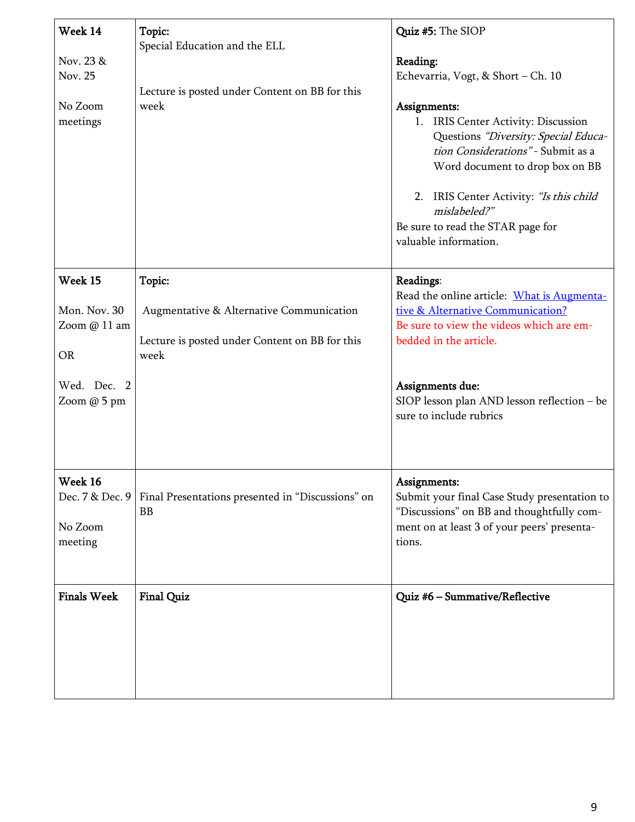| Week 14<br>Nov. 23 &<br>Nov. 25<br>No Zoom<br>meetings                      | Topic:<br>Special Education and the ELL<br>Lecture is posted under Content on BB for this<br>week            | Quiz #5: The SIOP<br>Reading:<br>Echevarria, Vogt, & Short - Ch. 10<br>Assignments:<br>IRIS Center Activity: Discussion<br>1.<br>Questions "Diversity: Special Educa-<br>tion Considerations" - Submit as a<br>Word document to drop box on BB<br>2. IRIS Center Activity: "Is this child<br>mislabeled?"<br>Be sure to read the STAR page for<br>valuable information. |
|-----------------------------------------------------------------------------|--------------------------------------------------------------------------------------------------------------|-------------------------------------------------------------------------------------------------------------------------------------------------------------------------------------------------------------------------------------------------------------------------------------------------------------------------------------------------------------------------|
| Week 15<br>Mon. Nov. 30<br>Zoom @ 11 am<br>OR<br>Wed. Dec. 2<br>Zoom @ 5 pm | Topic:<br>Augmentative & Alternative Communication<br>Lecture is posted under Content on BB for this<br>week | Readings:<br>Read the online article: What is Augmenta-<br>tive & Alternative Communication?<br>Be sure to view the videos which are em-<br>bedded in the article.<br>Assignments due:<br>SIOP lesson plan AND lesson reflection - be<br>sure to include rubrics                                                                                                        |
| Week 16<br>No Zoom<br>meeting                                               | Dec. 7 & Dec. 9   Final Presentations presented in "Discussions" on<br><b>BB</b>                             | Assignments:<br>Submit your final Case Study presentation to<br>"Discussions" on BB and thoughtfully com-<br>ment on at least 3 of your peers' presenta-<br>tions.                                                                                                                                                                                                      |
| <b>Finals Week</b>                                                          | <b>Final Quiz</b>                                                                                            | Quiz #6 - Summative/Reflective                                                                                                                                                                                                                                                                                                                                          |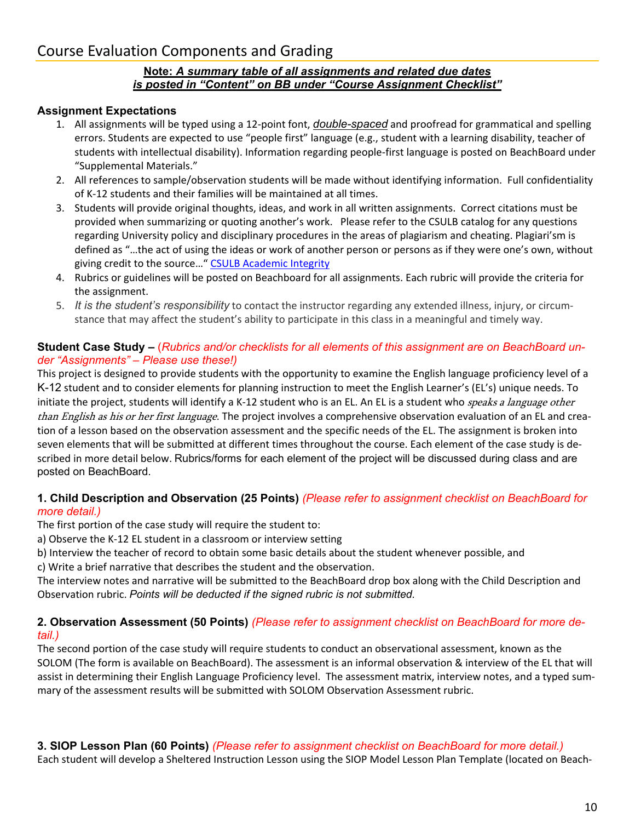# Course Evaluation Components and Grading

#### **Note:** *A summary table of all assignments and related due dates is posted in "Content" on BB under "Course Assignment Checklist"*

#### **Assignment Expectations**

- 1. All assignments will be typed using a 12-point font, *double-spaced* and proofread for grammatical and spelling errors. Students are expected to use "people first" language (e.g., student with a learning disability, teacher of students with intellectual disability). Information regarding people-first language is posted on BeachBoard under "Supplemental Materials."
- 2. All references to sample/observation students will be made without identifying information. Full confidentiality of K-12 students and their families will be maintained at all times.
- 3. Students will provide original thoughts, ideas, and work in all written assignments. Correct citations must be provided when summarizing or quoting another's work. Please refer to the CSULB catalog for any questions regarding University policy and disciplinary procedures in the areas of plagiarism and cheating. Plagiari'sm is defined as "…the act of using the ideas or work of another person or persons as if they were one's own, without giving credit to the source…" CSULB [Academic](http://www.csulb.edu/college-of-business-administration/deans-office-cba/academic-integrity) Integrity
- 4. Rubrics or guidelines will be posted on Beachboard for all assignments. Each rubric will provide the criteria for the assignment.
- 5. *It is the student's responsibility* to contact the instructor regarding any extended illness, injury, or circumstance that may affect the student's ability to participate in this class in a meaningful and timely way.

#### **Student Case Study –** (*Rubrics and/or checklists for all elements of this assignment are on BeachBoard under "Assignments" – Please use these!)*

This project is designed to provide students with the opportunity to examine the English language proficiency level of a K-12 student and to consider elements for planning instruction to meet the English Learner's (EL's) unique needs. To initiate the project, students will identify a K-12 student who is an EL. An EL is a student who *speaks a language other* than English as his or her first language. The project involves a comprehensive observation evaluation of an EL and creation of a lesson based on the observation assessment and the specific needs of the EL. The assignment is broken into seven elements that will be submitted at different times throughout the course. Each element of the case study is described in more detail below. Rubrics/forms for each element of the project will be discussed during class and are posted on BeachBoard.

#### **1. Child Description and Observation (25 Points)** *(Please refer to assignment checklist on BeachBoard for more detail.)*

The first portion of the case study will require the student to:

- a) Observe the K-12 EL student in a classroom or interview setting
- b) Interview the teacher of record to obtain some basic details about the student whenever possible, and

c) Write a brief narrative that describes the student and the observation.

The interview notes and narrative will be submitted to the BeachBoard drop box along with the Child Description and Observation rubric. *Points will be deducted if the signed rubric is not submitted*.

#### **2. Observation Assessment (50 Points)** *(Please refer to assignment checklist on BeachBoard for more detail.)*

The second portion of the case study will require students to conduct an observational assessment, known as the SOLOM (The form is available on BeachBoard). The assessment is an informal observation & interview of the EL that will assist in determining their English Language Proficiency level. The assessment matrix, interview notes, and a typed summary of the assessment results will be submitted with SOLOM Observation Assessment rubric.

#### **3. SIOP Lesson Plan (60 Points)** *(Please refer to assignment checklist on BeachBoard for more detail.)*

Each student will develop a Sheltered Instruction Lesson using the SIOP Model Lesson Plan Template (located on Beach-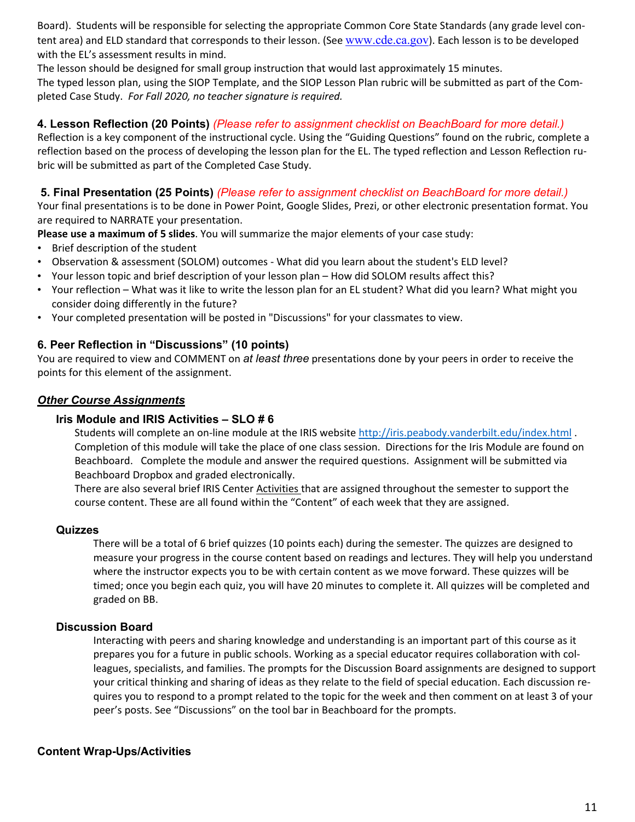Board). Students will be responsible for selecting the appropriate Common Core State Standards (any grade level content area) and ELD standard that corresponds to their lesson. (See [www.cde.ca.gov](http://www.cde.ca.gov/)). Each lesson is to be developed with the EL's assessment results in mind.

The lesson should be designed for small group instruction that would last approximately 15 minutes. The typed lesson plan, using the SIOP Template, and the SIOP Lesson Plan rubric will be submitted as part of the Completed Case Study. *For Fall 2020, no teacher signature is required.*

#### **4. Lesson Reflection (20 Points)** *(Please refer to assignment checklist on BeachBoard for more detail.)*

Reflection is a key component of the instructional cycle. Using the "Guiding Questions" found on the rubric, complete a reflection based on the process of developing the lesson plan for the EL. The typed reflection and Lesson Reflection rubric will be submitted as part of the Completed Case Study.

#### **5. Final Presentation (25 Points)** *(Please refer to assignment checklist on BeachBoard for more detail.)*

Your final presentations is to be done in Power Point, Google Slides, Prezi, or other electronic presentation format. You are required to NARRATE your presentation.

**Please use a maximum of 5 slides**. You will summarize the major elements of your case study:

- Brief description of the student
- Observation & assessment (SOLOM) outcomes What did you learn about the student's ELD level?
- Your lesson topic and brief description of your lesson plan How did SOLOM results affect this?
- Your reflection What was it like to write the lesson plan for an EL student? What did you learn? What might you consider doing differently in the future?
- Your completed presentation will be posted in "Discussions" for your classmates to view.

#### **6. Peer Reflection in "Discussions" (10 points)**

You are required to view and COMMENT on *at least three* presentations done by your peers in order to receive the points for this element of the assignment.

#### *Other Course Assignments*

#### **Iris Module and IRIS Activities – SLO # 6**

Students will complete an on-line module at the IRIS website <http://iris.peabody.vanderbilt.edu/index.html> . Completion of this module will take the place of one class session. Directions for the Iris Module are found on Beachboard. Complete the module and answer the required questions. Assignment will be submitted via Beachboard Dropbox and graded electronically.

There are also several brief IRIS Center Activities that are assigned throughout the semester to support the course content. These are all found within the "Content" of each week that they are assigned.

#### **Quizzes**

There will be a total of 6 brief quizzes (10 points each) during the semester. The quizzes are designed to measure your progress in the course content based on readings and lectures. They will help you understand where the instructor expects you to be with certain content as we move forward. These quizzes will be timed; once you begin each quiz, you will have 20 minutes to complete it. All quizzes will be completed and graded on BB.

#### **Discussion Board**

Interacting with peers and sharing knowledge and understanding is an important part of this course as it prepares you for a future in public schools. Working as a special educator requires collaboration with colleagues, specialists, and families. The prompts for the Discussion Board assignments are designed to support your critical thinking and sharing of ideas as they relate to the field of special education. Each discussion requires you to respond to a prompt related to the topic for the week and then comment on at least 3 of your peer's posts. See "Discussions" on the tool bar in Beachboard for the prompts.

#### **Content Wrap-Ups/Activities**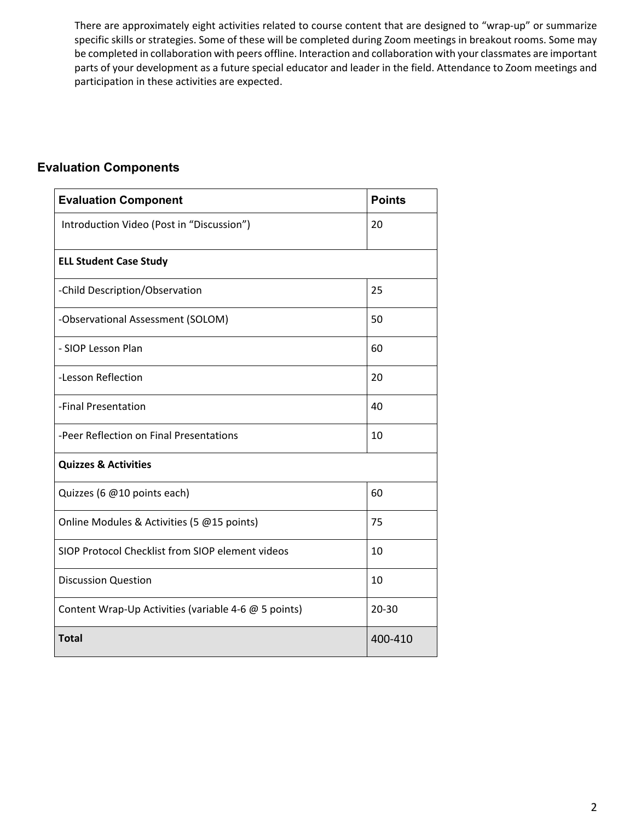There are approximately eight activities related to course content that are designed to "wrap-up" or summarize specific skills or strategies. Some of these will be completed during Zoom meetings in breakout rooms. Some may be completed in collaboration with peers offline. Interaction and collaboration with your classmates are important parts of your development as a future special educator and leader in the field. Attendance to Zoom meetings and participation in these activities are expected.

## **Evaluation Components**

| <b>Evaluation Component</b>                          | <b>Points</b> |
|------------------------------------------------------|---------------|
| Introduction Video (Post in "Discussion")            | 20            |
| <b>ELL Student Case Study</b>                        |               |
| -Child Description/Observation                       | 25            |
| -Observational Assessment (SOLOM)                    | 50            |
| - SIOP Lesson Plan                                   | 60            |
| -Lesson Reflection                                   | 20            |
| -Final Presentation                                  | 40            |
| -Peer Reflection on Final Presentations              | 10            |
| <b>Quizzes &amp; Activities</b>                      |               |
| Quizzes (6 @10 points each)                          | 60            |
| Online Modules & Activities (5 @15 points)           | 75            |
| SIOP Protocol Checklist from SIOP element videos     | 10            |
| <b>Discussion Question</b>                           | 10            |
| Content Wrap-Up Activities (variable 4-6 @ 5 points) | 20-30         |
| <b>Total</b>                                         | 400-410       |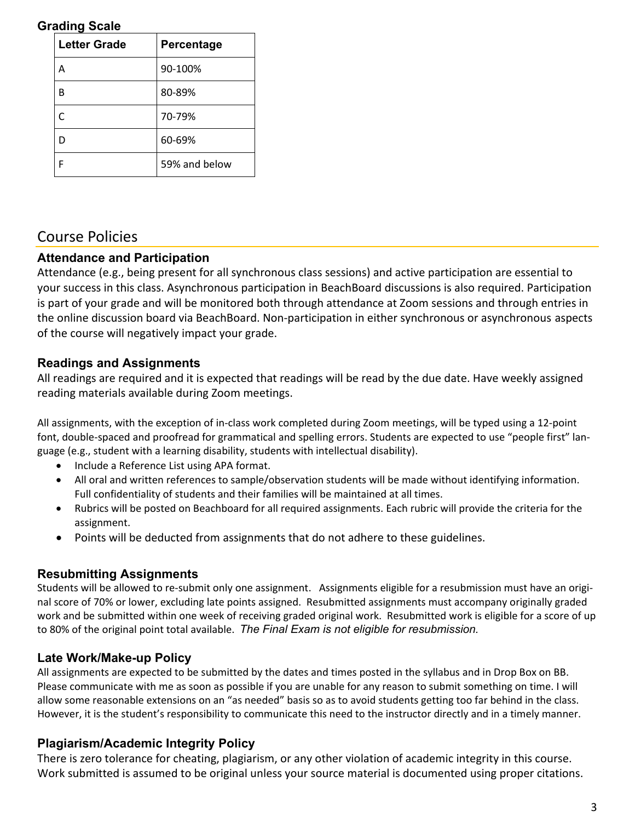### **Grading Scale**

| <b>Letter Grade</b> | Percentage    |
|---------------------|---------------|
|                     | 90-100%       |
| B                   | 80-89%        |
| C                   | 70-79%        |
| D                   | 60-69%        |
| F                   | 59% and below |

## Course Policies

### **Attendance and Participation**

Attendance (e.g., being present for all synchronous class sessions) and active participation are essential to your success in this class. Asynchronous participation in BeachBoard discussions is also required. Participation is part of your grade and will be monitored both through attendance at Zoom sessions and through entries in the online discussion board via BeachBoard. Non-participation in either synchronous or asynchronous aspects of the course will negatively impact your grade.

## **Readings and Assignments**

All readings are required and it is expected that readings will be read by the due date. Have weekly assigned reading materials available during Zoom meetings.

All assignments, with the exception of in-class work completed during Zoom meetings, will be typed using a 12-point font, double-spaced and proofread for grammatical and spelling errors. Students are expected to use "people first" language (e.g., student with a learning disability, students with intellectual disability).

- Include a Reference List using APA format.
- All oral and written references to sample/observation students will be made without identifying information. Full confidentiality of students and their families will be maintained at all times.
- Rubrics will be posted on Beachboard for all required assignments. Each rubric will provide the criteria for the assignment.
- Points will be deducted from assignments that do not adhere to these guidelines.

## **Resubmitting Assignments**

Students will be allowed to re-submit only one assignment. Assignments eligible for a resubmission must have an original score of 70% or lower, excluding late points assigned. Resubmitted assignments must accompany originally graded work and be submitted within one week of receiving graded original work. Resubmitted work is eligible for a score of up to 80% of the original point total available. *The Final Exam is not eligible for resubmission.*

## **Late Work/Make-up Policy**

All assignments are expected to be submitted by the dates and times posted in the syllabus and in Drop Box on BB. Please communicate with me as soon as possible if you are unable for any reason to submit something on time. I will allow some reasonable extensions on an "as needed" basis so as to avoid students getting too far behind in the class. However, it is the student's responsibility to communicate this need to the instructor directly and in a timely manner.

## **Plagiarism/Academic Integrity Policy**

There is zero tolerance for cheating, plagiarism, or any other violation of academic integrity in this course. Work submitted is assumed to be original unless your source material is documented using proper citations.